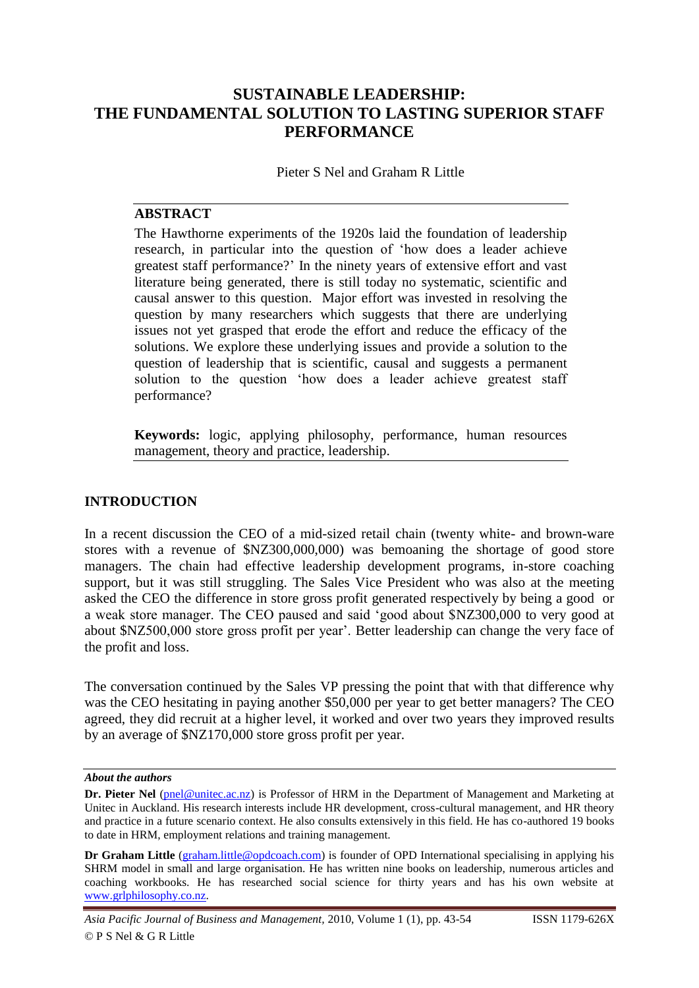# **SUSTAINABLE LEADERSHIP: THE FUNDAMENTAL SOLUTION TO LASTING SUPERIOR STAFF PERFORMANCE**

Pieter S Nel and Graham R Little

## **ABSTRACT**

The Hawthorne experiments of the 1920s laid the foundation of leadership research, in particular into the question of "how does a leader achieve greatest staff performance?" In the ninety years of extensive effort and vast literature being generated, there is still today no systematic, scientific and causal answer to this question. Major effort was invested in resolving the question by many researchers which suggests that there are underlying issues not yet grasped that erode the effort and reduce the efficacy of the solutions. We explore these underlying issues and provide a solution to the question of leadership that is scientific, causal and suggests a permanent solution to the question "how does a leader achieve greatest staff performance?

**Keywords:** logic, applying philosophy, performance, human resources management, theory and practice, leadership.

### **INTRODUCTION**

In a recent discussion the CEO of a mid-sized retail chain (twenty white- and brown-ware stores with a revenue of \$NZ300,000,000) was bemoaning the shortage of good store managers. The chain had effective leadership development programs, in-store coaching support, but it was still struggling. The Sales Vice President who was also at the meeting asked the CEO the difference in store gross profit generated respectively by being a good or a weak store manager. The CEO paused and said "good about \$NZ300,000 to very good at about \$NZ500,000 store gross profit per year". Better leadership can change the very face of the profit and loss.

The conversation continued by the Sales VP pressing the point that with that difference why was the CEO hesitating in paying another \$50,000 per year to get better managers? The CEO agreed, they did recruit at a higher level, it worked and over two years they improved results by an average of \$NZ170,000 store gross profit per year.

*About the authors*

**Dr. Pieter Nel** (pnel@unitec.ac.nz) is Professor of HRM in the Department of Management and Marketing at Unitec in Auckland. His research interests include HR development, cross-cultural management, and HR theory and practice in a future scenario context. He also consults extensively in this field. He has co-authored 19 books to date in HRM, employment relations and training management.

**Dr Graham Little** (graham.little@opdcoach.com) is founder of OPD International specialising in applying his SHRM model in small and large organisation. He has written nine books on leadership, numerous articles and coaching workbooks. He has researched social science for thirty years and has his own website at www.grlphilosophy.co.nz.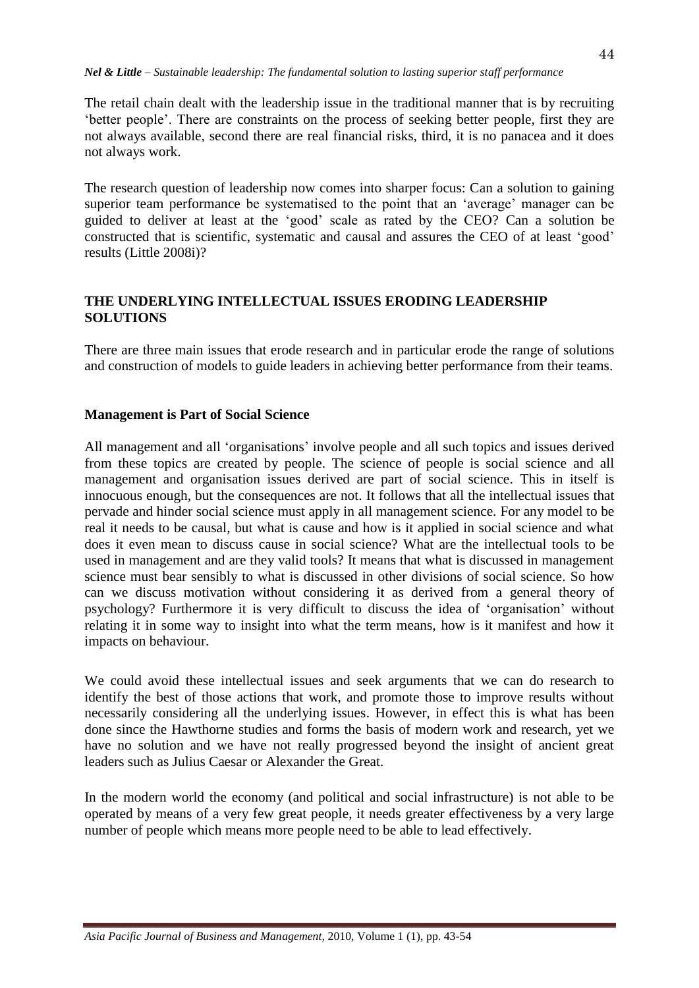The retail chain dealt with the leadership issue in the traditional manner that is by recruiting "better people". There are constraints on the process of seeking better people, first they are not always available, second there are real financial risks, third, it is no panacea and it does not always work.

The research question of leadership now comes into sharper focus: Can a solution to gaining superior team performance be systematised to the point that an 'average' manager can be guided to deliver at least at the "good" scale as rated by the CEO? Can a solution be constructed that is scientific, systematic and causal and assures the CEO of at least "good" results (Little 2008i)?

### **THE UNDERLYING INTELLECTUAL ISSUES ERODING LEADERSHIP SOLUTIONS**

There are three main issues that erode research and in particular erode the range of solutions and construction of models to guide leaders in achieving better performance from their teams.

### **Management is Part of Social Science**

All management and all "organisations" involve people and all such topics and issues derived from these topics are created by people. The science of people is social science and all management and organisation issues derived are part of social science. This in itself is innocuous enough, but the consequences are not. It follows that all the intellectual issues that pervade and hinder social science must apply in all management science. For any model to be real it needs to be causal, but what is cause and how is it applied in social science and what does it even mean to discuss cause in social science? What are the intellectual tools to be used in management and are they valid tools? It means that what is discussed in management science must bear sensibly to what is discussed in other divisions of social science. So how can we discuss motivation without considering it as derived from a general theory of psychology? Furthermore it is very difficult to discuss the idea of "organisation" without relating it in some way to insight into what the term means, how is it manifest and how it impacts on behaviour.

We could avoid these intellectual issues and seek arguments that we can do research to identify the best of those actions that work, and promote those to improve results without necessarily considering all the underlying issues. However, in effect this is what has been done since the Hawthorne studies and forms the basis of modern work and research, yet we have no solution and we have not really progressed beyond the insight of ancient great leaders such as Julius Caesar or Alexander the Great.

In the modern world the economy (and political and social infrastructure) is not able to be operated by means of a very few great people, it needs greater effectiveness by a very large number of people which means more people need to be able to lead effectively.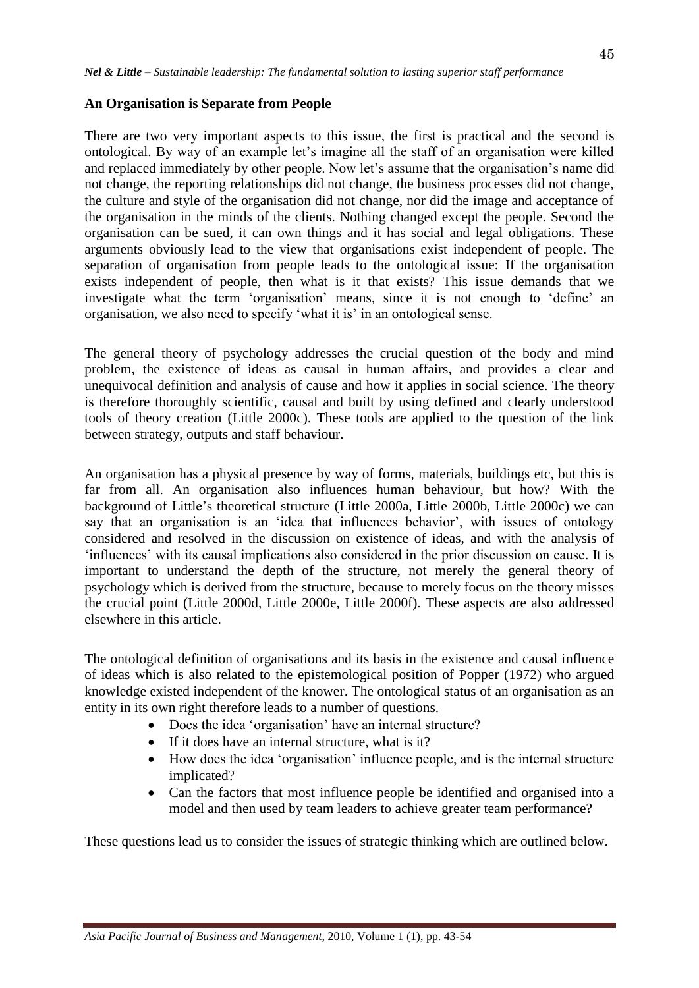### **An Organisation is Separate from People**

There are two very important aspects to this issue, the first is practical and the second is ontological. By way of an example let"s imagine all the staff of an organisation were killed and replaced immediately by other people. Now let's assume that the organisation's name did not change, the reporting relationships did not change, the business processes did not change, the culture and style of the organisation did not change, nor did the image and acceptance of the organisation in the minds of the clients. Nothing changed except the people. Second the organisation can be sued, it can own things and it has social and legal obligations. These arguments obviously lead to the view that organisations exist independent of people. The separation of organisation from people leads to the ontological issue: If the organisation exists independent of people, then what is it that exists? This issue demands that we investigate what the term "organisation" means, since it is not enough to "define" an organisation, we also need to specify "what it is" in an ontological sense.

The general theory of psychology addresses the crucial question of the body and mind problem, the existence of ideas as causal in human affairs, and provides a clear and unequivocal definition and analysis of cause and how it applies in social science. The theory is therefore thoroughly scientific, causal and built by using defined and clearly understood tools of theory creation (Little 2000c). These tools are applied to the question of the link between strategy, outputs and staff behaviour.

An organisation has a physical presence by way of forms, materials, buildings etc, but this is far from all. An organisation also influences human behaviour, but how? With the background of Little"s theoretical structure (Little 2000a, Little 2000b, Little 2000c) we can say that an organisation is an 'idea that influences behavior', with issues of ontology considered and resolved in the discussion on existence of ideas, and with the analysis of 'influences' with its causal implications also considered in the prior discussion on cause. It is important to understand the depth of the structure, not merely the general theory of psychology which is derived from the structure, because to merely focus on the theory misses the crucial point (Little 2000d, Little 2000e, Little 2000f). These aspects are also addressed elsewhere in this article.

The ontological definition of organisations and its basis in the existence and causal influence of ideas which is also related to the epistemological position of Popper (1972) who argued knowledge existed independent of the knower. The ontological status of an organisation as an entity in its own right therefore leads to a number of questions.

- Does the idea "organisation" have an internal structure?
- If it does have an internal structure, what is it?
- How does the idea "organisation" influence people, and is the internal structure implicated?
- Can the factors that most influence people be identified and organised into a model and then used by team leaders to achieve greater team performance?

These questions lead us to consider the issues of strategic thinking which are outlined below.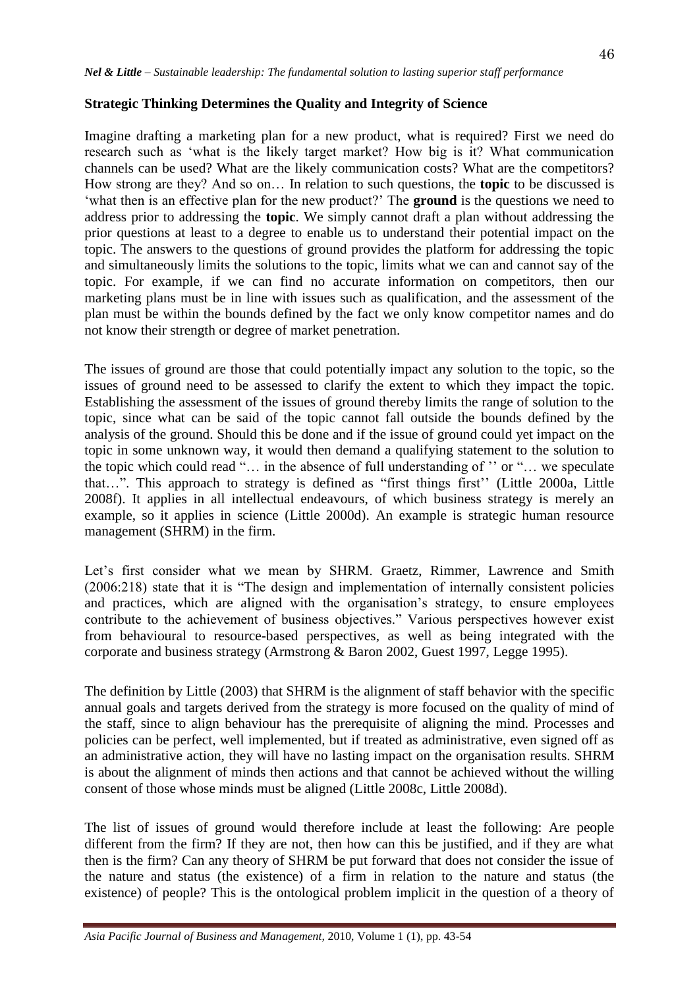### **Strategic Thinking Determines the Quality and Integrity of Science**

Imagine drafting a marketing plan for a new product, what is required? First we need do research such as "what is the likely target market? How big is it? What communication channels can be used? What are the likely communication costs? What are the competitors? How strong are they? And so on… In relation to such questions, the **topic** to be discussed is "what then is an effective plan for the new product?" The **ground** is the questions we need to address prior to addressing the **topic**. We simply cannot draft a plan without addressing the prior questions at least to a degree to enable us to understand their potential impact on the topic. The answers to the questions of ground provides the platform for addressing the topic and simultaneously limits the solutions to the topic, limits what we can and cannot say of the topic. For example, if we can find no accurate information on competitors, then our marketing plans must be in line with issues such as qualification, and the assessment of the plan must be within the bounds defined by the fact we only know competitor names and do not know their strength or degree of market penetration.

The issues of ground are those that could potentially impact any solution to the topic, so the issues of ground need to be assessed to clarify the extent to which they impact the topic. Establishing the assessment of the issues of ground thereby limits the range of solution to the topic, since what can be said of the topic cannot fall outside the bounds defined by the analysis of the ground. Should this be done and if the issue of ground could yet impact on the topic in some unknown way, it would then demand a qualifying statement to the solution to the topic which could read "... in the absence of full understanding of " or "... we speculate that…". This approach to strategy is defined as "first things first"" (Little 2000a, Little 2008f). It applies in all intellectual endeavours, of which business strategy is merely an example, so it applies in science (Little 2000d). An example is strategic human resource management (SHRM) in the firm.

Let's first consider what we mean by SHRM. Graetz, Rimmer, Lawrence and Smith (2006:218) state that it is "The design and implementation of internally consistent policies and practices, which are aligned with the organisation"s strategy, to ensure employees contribute to the achievement of business objectives." Various perspectives however exist from behavioural to resource-based perspectives, as well as being integrated with the corporate and business strategy (Armstrong & Baron 2002, Guest 1997, Legge 1995).

The definition by Little (2003) that SHRM is the alignment of staff behavior with the specific annual goals and targets derived from the strategy is more focused on the quality of mind of the staff, since to align behaviour has the prerequisite of aligning the mind. Processes and policies can be perfect, well implemented, but if treated as administrative, even signed off as an administrative action, they will have no lasting impact on the organisation results. SHRM is about the alignment of minds then actions and that cannot be achieved without the willing consent of those whose minds must be aligned (Little 2008c, Little 2008d).

The list of issues of ground would therefore include at least the following: Are people different from the firm? If they are not, then how can this be justified, and if they are what then is the firm? Can any theory of SHRM be put forward that does not consider the issue of the nature and status (the existence) of a firm in relation to the nature and status (the existence) of people? This is the ontological problem implicit in the question of a theory of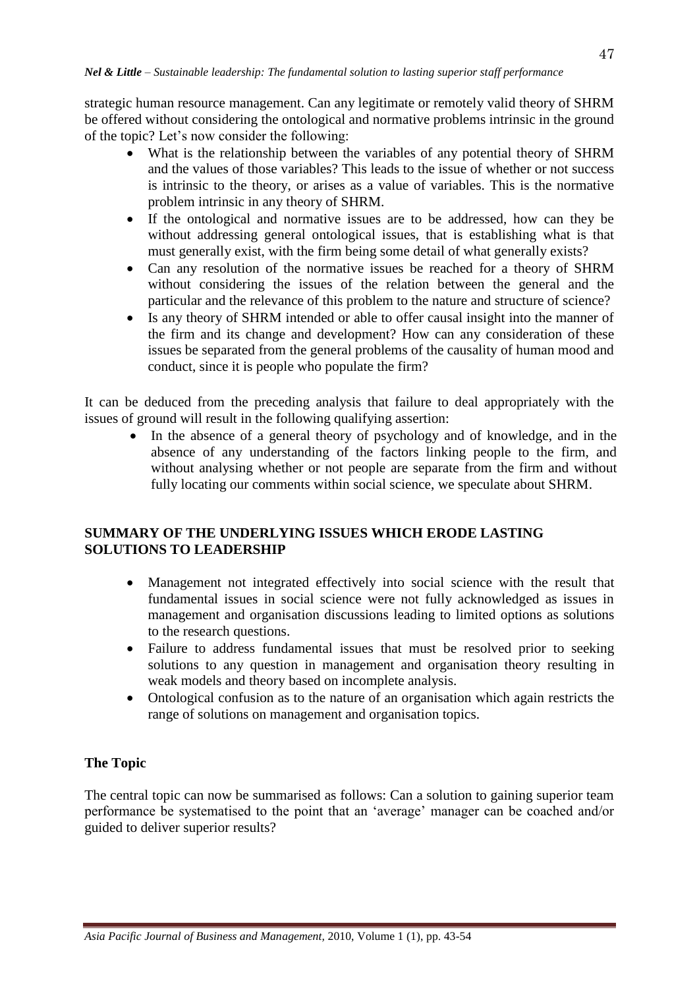strategic human resource management. Can any legitimate or remotely valid theory of SHRM be offered without considering the ontological and normative problems intrinsic in the ground of the topic? Let"s now consider the following:

- What is the relationship between the variables of any potential theory of SHRM and the values of those variables? This leads to the issue of whether or not success is intrinsic to the theory, or arises as a value of variables. This is the normative problem intrinsic in any theory of SHRM.
- If the ontological and normative issues are to be addressed, how can they be without addressing general ontological issues, that is establishing what is that must generally exist, with the firm being some detail of what generally exists?
- Can any resolution of the normative issues be reached for a theory of SHRM without considering the issues of the relation between the general and the particular and the relevance of this problem to the nature and structure of science?
- Is any theory of SHRM intended or able to offer causal insight into the manner of the firm and its change and development? How can any consideration of these issues be separated from the general problems of the causality of human mood and conduct, since it is people who populate the firm?

It can be deduced from the preceding analysis that failure to deal appropriately with the issues of ground will result in the following qualifying assertion:

• In the absence of a general theory of psychology and of knowledge, and in the absence of any understanding of the factors linking people to the firm, and without analysing whether or not people are separate from the firm and without fully locating our comments within social science, we speculate about SHRM.

## **SUMMARY OF THE UNDERLYING ISSUES WHICH ERODE LASTING SOLUTIONS TO LEADERSHIP**

- Management not integrated effectively into social science with the result that fundamental issues in social science were not fully acknowledged as issues in management and organisation discussions leading to limited options as solutions to the research questions.
- Failure to address fundamental issues that must be resolved prior to seeking solutions to any question in management and organisation theory resulting in weak models and theory based on incomplete analysis.
- Ontological confusion as to the nature of an organisation which again restricts the range of solutions on management and organisation topics.

## **The Topic**

The central topic can now be summarised as follows: Can a solution to gaining superior team performance be systematised to the point that an "average" manager can be coached and/or guided to deliver superior results?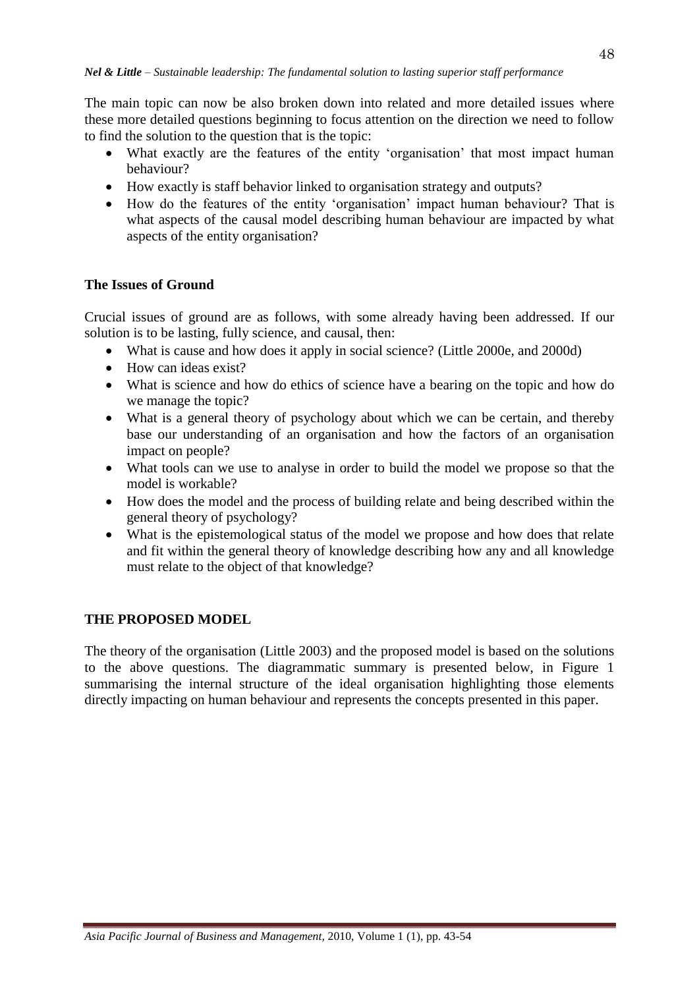The main topic can now be also broken down into related and more detailed issues where these more detailed questions beginning to focus attention on the direction we need to follow to find the solution to the question that is the topic:

- What exactly are the features of the entity 'organisation' that most impact human behaviour?
- How exactly is staff behavior linked to organisation strategy and outputs?
- How do the features of the entity 'organisation' impact human behaviour? That is what aspects of the causal model describing human behaviour are impacted by what aspects of the entity organisation?

### **The Issues of Ground**

Crucial issues of ground are as follows, with some already having been addressed. If our solution is to be lasting, fully science, and causal, then:

- What is cause and how does it apply in social science? (Little 2000e, and 2000d)
- $\bullet$  How can ideas exist?
- What is science and how do ethics of science have a bearing on the topic and how do we manage the topic?
- What is a general theory of psychology about which we can be certain, and thereby base our understanding of an organisation and how the factors of an organisation impact on people?
- What tools can we use to analyse in order to build the model we propose so that the model is workable?
- How does the model and the process of building relate and being described within the general theory of psychology?
- What is the epistemological status of the model we propose and how does that relate and fit within the general theory of knowledge describing how any and all knowledge must relate to the object of that knowledge?

### **THE PROPOSED MODEL**

The theory of the organisation (Little 2003) and the proposed model is based on the solutions to the above questions. The diagrammatic summary is presented below, in Figure 1 summarising the internal structure of the ideal organisation highlighting those elements directly impacting on human behaviour and represents the concepts presented in this paper.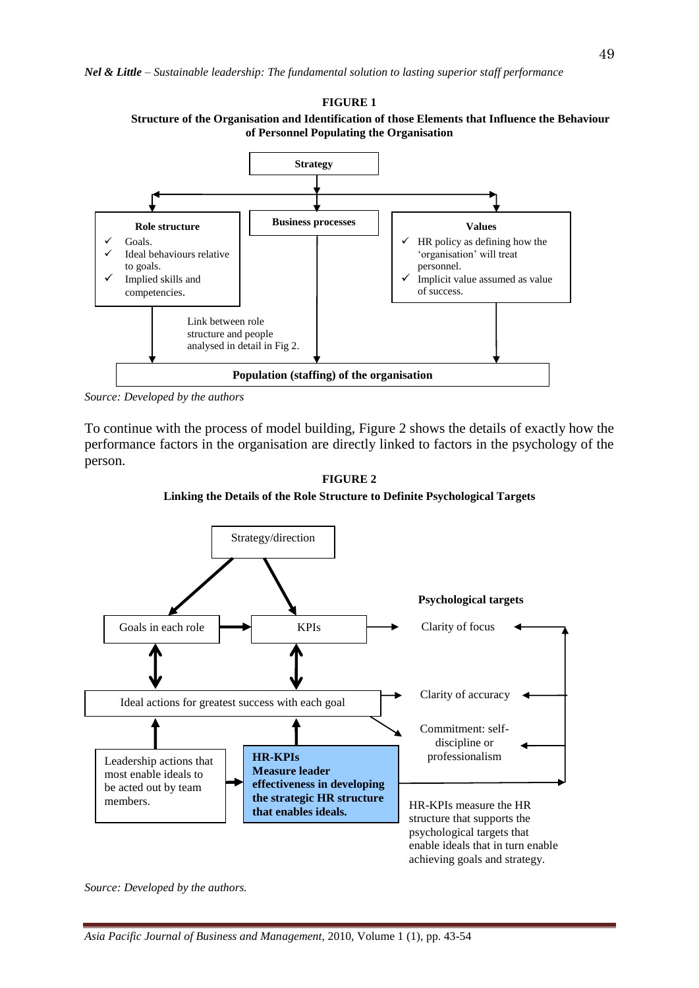

*Source: Developed by the authors* 

To continue with the process of model building, Figure 2 shows the details of exactly how the performance factors in the organisation are directly linked to factors in the psychology of the person.



achieving goals and strategy.

**FIGURE 2 Linking the Details of the Role Structure to Definite Psychological Targets**

*Source: Developed by the authors.*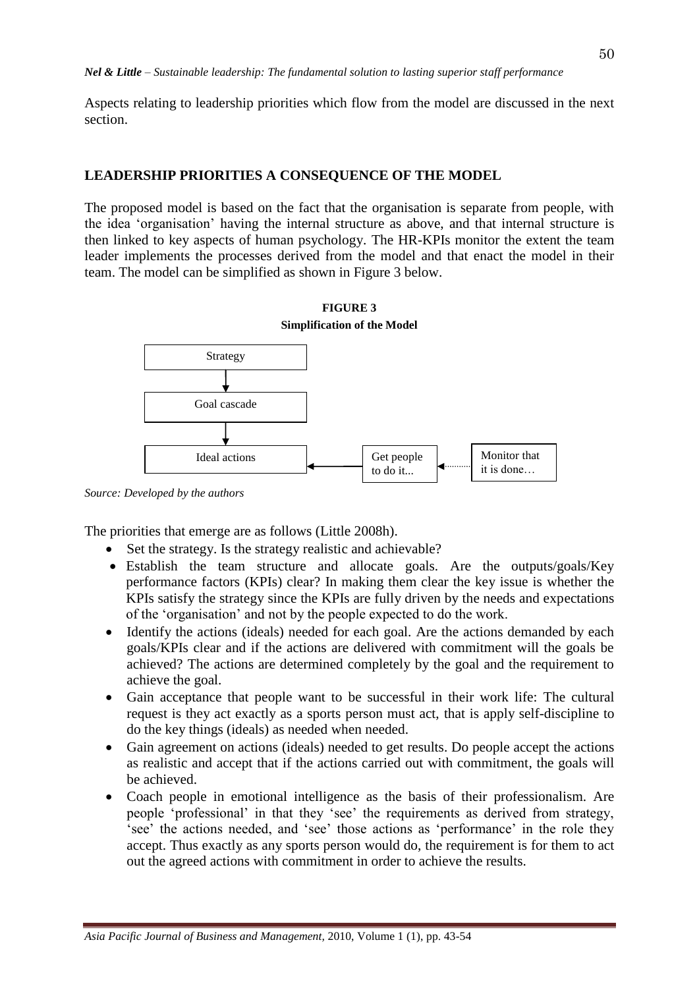Aspects relating to leadership priorities which flow from the model are discussed in the next section.

### **LEADERSHIP PRIORITIES A CONSEQUENCE OF THE MODEL**

The proposed model is based on the fact that the organisation is separate from people, with the idea "organisation" having the internal structure as above, and that internal structure is then linked to key aspects of human psychology. The HR-KPIs monitor the extent the team leader implements the processes derived from the model and that enact the model in their team. The model can be simplified as shown in Figure 3 below.



**FIGURE 3**

*Source: Developed by the authors* 

The priorities that emerge are as follows (Little 2008h).

- Set the strategy. Is the strategy realistic and achievable?
- Establish the team structure and allocate goals. Are the outputs/goals/Key performance factors (KPIs) clear? In making them clear the key issue is whether the KPIs satisfy the strategy since the KPIs are fully driven by the needs and expectations of the "organisation" and not by the people expected to do the work.
- Identify the actions (ideals) needed for each goal. Are the actions demanded by each goals/KPIs clear and if the actions are delivered with commitment will the goals be achieved? The actions are determined completely by the goal and the requirement to achieve the goal.
- Gain acceptance that people want to be successful in their work life: The cultural request is they act exactly as a sports person must act, that is apply self-discipline to do the key things (ideals) as needed when needed.
- Gain agreement on actions (ideals) needed to get results. Do people accept the actions as realistic and accept that if the actions carried out with commitment, the goals will be achieved.
- Coach people in emotional intelligence as the basis of their professionalism. Are people "professional" in that they "see" the requirements as derived from strategy, "see" the actions needed, and "see" those actions as "performance" in the role they accept. Thus exactly as any sports person would do, the requirement is for them to act out the agreed actions with commitment in order to achieve the results.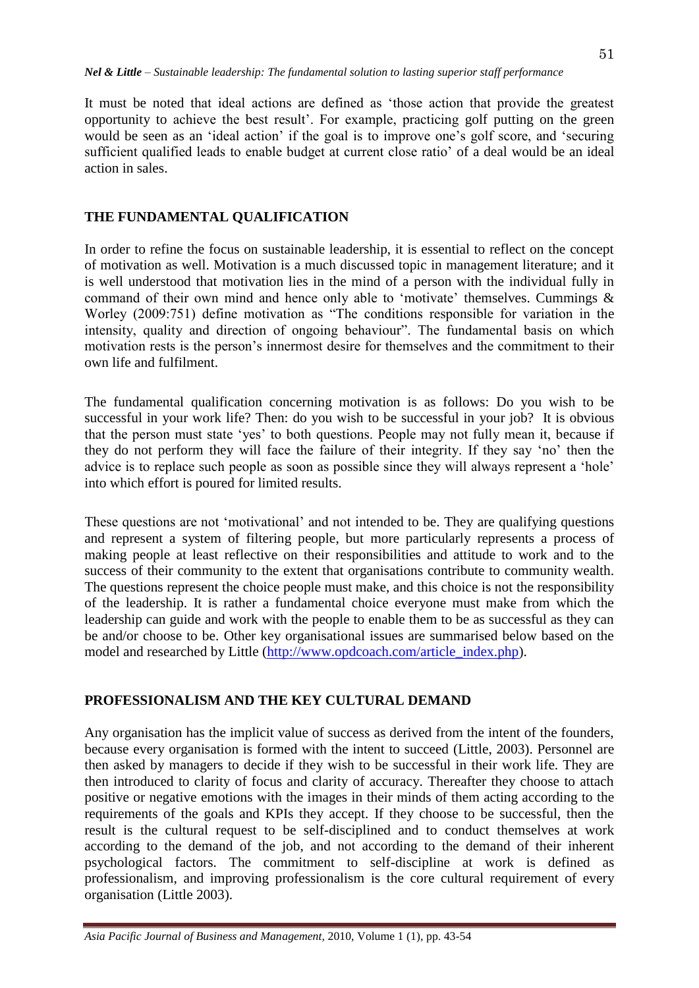It must be noted that ideal actions are defined as "those action that provide the greatest opportunity to achieve the best result". For example, practicing golf putting on the green would be seen as an 'ideal action' if the goal is to improve one's golf score, and 'securing sufficient qualified leads to enable budget at current close ratio' of a deal would be an ideal action in sales.

### **THE FUNDAMENTAL QUALIFICATION**

In order to refine the focus on sustainable leadership, it is essential to reflect on the concept of motivation as well. Motivation is a much discussed topic in management literature; and it is well understood that motivation lies in the mind of a person with the individual fully in command of their own mind and hence only able to 'motivate' themselves. Cummings  $\&$ Worley (2009:751) define motivation as "The conditions responsible for variation in the intensity, quality and direction of ongoing behaviour". The fundamental basis on which motivation rests is the person"s innermost desire for themselves and the commitment to their own life and fulfilment.

The fundamental qualification concerning motivation is as follows: Do you wish to be successful in your work life? Then: do you wish to be successful in your job? It is obvious that the person must state "yes" to both questions. People may not fully mean it, because if they do not perform they will face the failure of their integrity. If they say "no" then the advice is to replace such people as soon as possible since they will always represent a "hole" into which effort is poured for limited results.

These questions are not 'motivational' and not intended to be. They are qualifying questions and represent a system of filtering people, but more particularly represents a process of making people at least reflective on their responsibilities and attitude to work and to the success of their community to the extent that organisations contribute to community wealth. The questions represent the choice people must make, and this choice is not the responsibility of the leadership. It is rather a fundamental choice everyone must make from which the leadership can guide and work with the people to enable them to be as successful as they can be and/or choose to be. Other key organisational issues are summarised below based on the model and researched by Little [\(http://www.opdcoach.com/article\\_index.php\)](http://www.opdcoach.com/article_index.php).

## **PROFESSIONALISM AND THE KEY CULTURAL DEMAND**

Any organisation has the implicit value of success as derived from the intent of the founders, because every organisation is formed with the intent to succeed (Little, 2003). Personnel are then asked by managers to decide if they wish to be successful in their work life. They are then introduced to clarity of focus and clarity of accuracy. Thereafter they choose to attach positive or negative emotions with the images in their minds of them acting according to the requirements of the goals and KPIs they accept. If they choose to be successful, then the result is the cultural request to be self-disciplined and to conduct themselves at work according to the demand of the job, and not according to the demand of their inherent psychological factors. The commitment to self-discipline at work is defined as professionalism, and improving professionalism is the core cultural requirement of every organisation (Little 2003).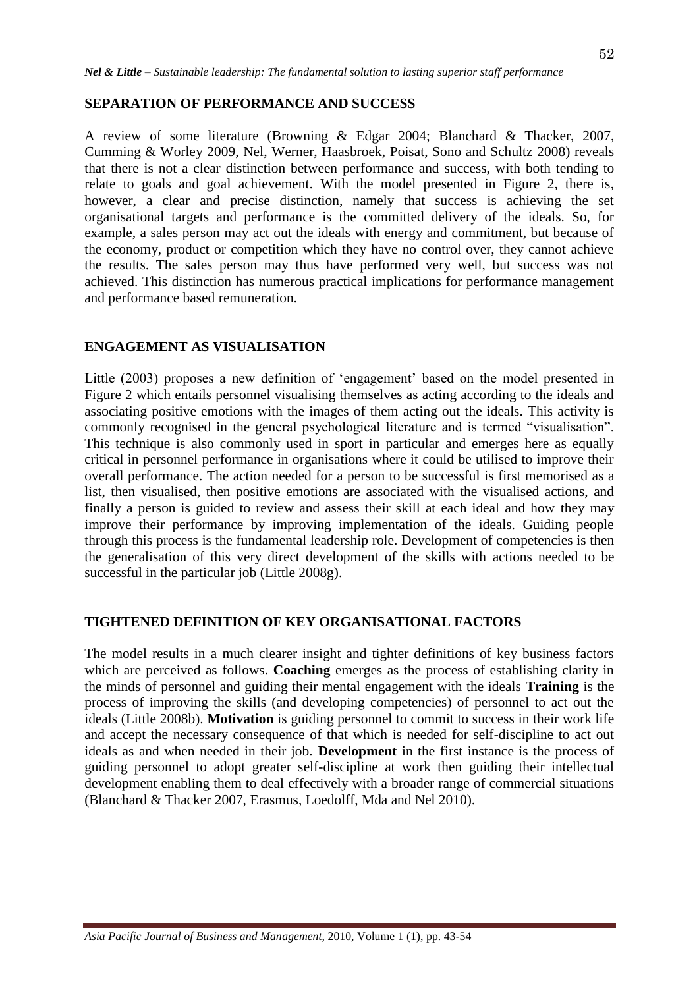#### **SEPARATION OF PERFORMANCE AND SUCCESS**

A review of some literature (Browning & Edgar 2004; Blanchard & Thacker, 2007, Cumming & Worley 2009, Nel, Werner, Haasbroek, Poisat, Sono and Schultz 2008) reveals that there is not a clear distinction between performance and success, with both tending to relate to goals and goal achievement. With the model presented in Figure 2, there is, however, a clear and precise distinction, namely that success is achieving the set organisational targets and performance is the committed delivery of the ideals. So, for example, a sales person may act out the ideals with energy and commitment, but because of the economy, product or competition which they have no control over, they cannot achieve the results. The sales person may thus have performed very well, but success was not achieved. This distinction has numerous practical implications for performance management and performance based remuneration.

### **ENGAGEMENT AS VISUALISATION**

Little (2003) proposes a new definition of "engagement" based on the model presented in Figure 2 which entails personnel visualising themselves as acting according to the ideals and associating positive emotions with the images of them acting out the ideals. This activity is commonly recognised in the general psychological literature and is termed "visualisation". This technique is also commonly used in sport in particular and emerges here as equally critical in personnel performance in organisations where it could be utilised to improve their overall performance. The action needed for a person to be successful is first memorised as a list, then visualised, then positive emotions are associated with the visualised actions, and finally a person is guided to review and assess their skill at each ideal and how they may improve their performance by improving implementation of the ideals. Guiding people through this process is the fundamental leadership role. Development of competencies is then the generalisation of this very direct development of the skills with actions needed to be successful in the particular job (Little 2008g).

#### **TIGHTENED DEFINITION OF KEY ORGANISATIONAL FACTORS**

The model results in a much clearer insight and tighter definitions of key business factors which are perceived as follows. **Coaching** emerges as the process of establishing clarity in the minds of personnel and guiding their mental engagement with the ideals **Training** is the process of improving the skills (and developing competencies) of personnel to act out the ideals (Little 2008b). **Motivation** is guiding personnel to commit to success in their work life and accept the necessary consequence of that which is needed for self-discipline to act out ideals as and when needed in their job. **Development** in the first instance is the process of guiding personnel to adopt greater self-discipline at work then guiding their intellectual development enabling them to deal effectively with a broader range of commercial situations (Blanchard & Thacker 2007, Erasmus, Loedolff, Mda and Nel 2010).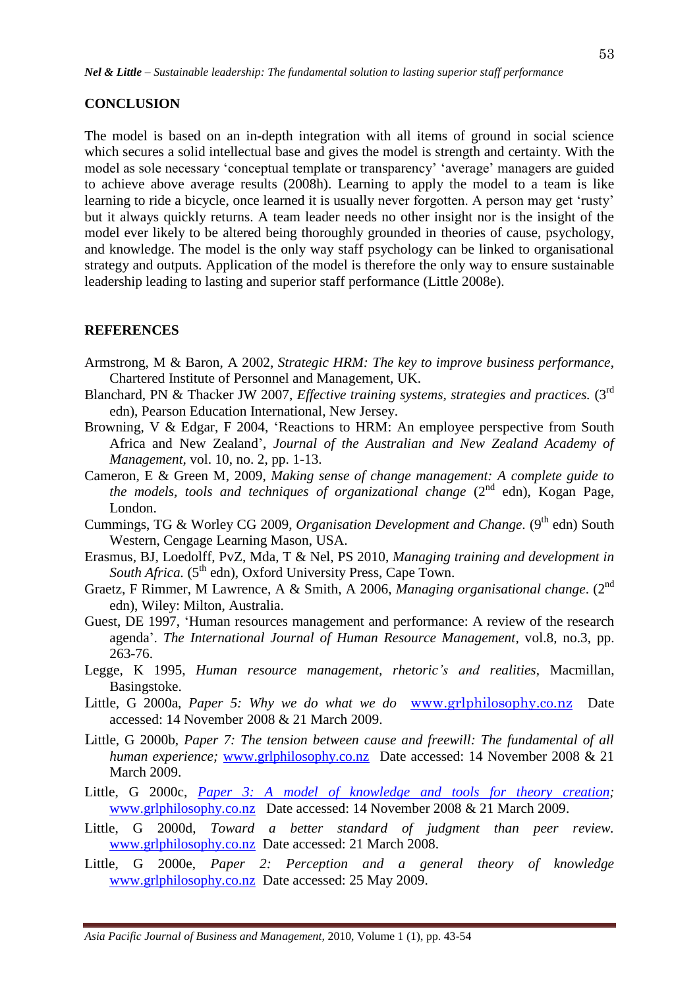#### **CONCLUSION**

The model is based on an in-depth integration with all items of ground in social science which secures a solid intellectual base and gives the model is strength and certainty. With the model as sole necessary "conceptual template or transparency" "average" managers are guided to achieve above average results (2008h). Learning to apply the model to a team is like learning to ride a bicycle, once learned it is usually never forgotten. A person may get 'rusty' but it always quickly returns. A team leader needs no other insight nor is the insight of the model ever likely to be altered being thoroughly grounded in theories of cause, psychology, and knowledge. The model is the only way staff psychology can be linked to organisational strategy and outputs. Application of the model is therefore the only way to ensure sustainable leadership leading to lasting and superior staff performance (Little 2008e).

#### **REFERENCES**

- Armstrong, M & Baron, A 2002, *Strategic HRM: The key to improve business performance*, Chartered Institute of Personnel and Management, UK.
- Blanchard, PN & Thacker JW 2007, *Effective training systems, strategies and practices.* (3<sup>rd</sup> edn), Pearson Education International, New Jersey.
- Browning, V & Edgar, F 2004, "Reactions to HRM: An employee perspective from South Africa and New Zealand", *Journal of the Australian and New Zealand Academy of Management,* vol. 10, no. 2, pp. 1-13.
- Cameron, E & Green M, 2009, *Making sense of change management: A complete guide to the models, tools and techniques of organizational change* (2<sup>nd</sup> edn). Kogan Page, London.
- Cummings, TG & Worley CG 2009, *Organisation Development and Change*. (9<sup>th</sup> edn) South Western, Cengage Learning Mason, USA.
- Erasmus, BJ, Loedolff, PvZ, Mda, T & Nel, PS 2010, *Managing training and development in*  South Africa. (5<sup>th</sup> edn), Oxford University Press, Cape Town.
- Graetz, F Rimmer, M Lawrence, A & Smith, A 2006, *Managing organisational change*. (2nd edn), Wiley: Milton, Australia.
- Guest, DE 1997, "Human resources management and performance: A review of the research agenda". *The International Journal of Human Resource Management,* vol.8, no.3, pp. 263-76.
- Legge, K 1995, *Human resource management, rhetoric's and realities,* Macmillan, Basingstoke.
- Little, G 2000a, *Paper 5: Why we do what we do* [www.grlphilosophy.co.nz](http://www.grlphilosophy.co.nz/) Date accessed: 14 November 2008 & 21 March 2009.
- Little, G 2000b, *Paper 7: The tension between cause and freewill: The fundamental of all human experience;* [www.grlphilosophy.co.nz](http://www.grlphilosophy.co.nz/) Date accessed: 14 November 2008 & 21 March 2009.
- Little, G 2000c, *Paper 3: A model of knowledge and tools for theory creation;* [www.grlphilosophy.co.nz](http://www.grlphilosophy.co.nz/) Date accessed: 14 November 2008 & 21 March 2009.
- Little, G 2000d, *[Toward a better standard of judgment than peer review.](http://www.grlphilosophy.co.nz/paper7.htm)*  [www.grlphilosophy.co.nz](http://www.grlphilosophy.co.nz/) Date accessed: 21 March 2008.
- Little, G 2000e, *Paper 2: Perception and a general theory of knowledge* [www.grlphilosophy.co.nz](http://www.grlphilosophy.co.nz/) Date accessed: 25 May 2009.